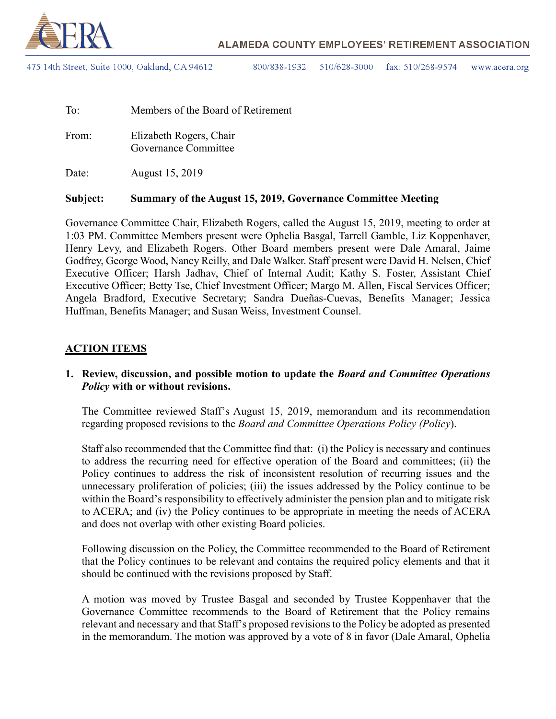

475 14th Street, Suite 1000, Oakland, CA 94612

800/838-1932 510/628-3000 fax:  $510/268 - 9574$ www.acera.org

| To:   | Members of the Board of Retirement              |
|-------|-------------------------------------------------|
| From: | Elizabeth Rogers, Chair<br>Governance Committee |
| Date: | August 15, 2019                                 |

#### **Subject: Summary of the August 15, 2019, Governance Committee Meeting**

Governance Committee Chair, Elizabeth Rogers, called the August 15, 2019, meeting to order at 1:03 PM. Committee Members present were Ophelia Basgal, Tarrell Gamble, Liz Koppenhaver, Henry Levy, and Elizabeth Rogers. Other Board members present were Dale Amaral, Jaime Godfrey, George Wood, Nancy Reilly, and Dale Walker. Staff present were David H. Nelsen, Chief Executive Officer; Harsh Jadhav, Chief of Internal Audit; Kathy S. Foster, Assistant Chief Executive Officer; Betty Tse, Chief Investment Officer; Margo M. Allen, Fiscal Services Officer; Angela Bradford, Executive Secretary; Sandra Dueñas-Cuevas, Benefits Manager; Jessica Huffman, Benefits Manager; and Susan Weiss, Investment Counsel.

#### **ACTION ITEMS**

### **1. Review, discussion, and possible motion to update the** *Board and Committee Operations Policy* **with or without revisions.**

The Committee reviewed Staff's August 15, 2019, memorandum and its recommendation regarding proposed revisions to the *Board and Committee Operations Policy (Policy*).

Staff also recommended that the Committee find that: (i) the Policy is necessary and continues to address the recurring need for effective operation of the Board and committees; (ii) the Policy continues to address the risk of inconsistent resolution of recurring issues and the unnecessary proliferation of policies; (iii) the issues addressed by the Policy continue to be within the Board's responsibility to effectively administer the pension plan and to mitigate risk to ACERA; and (iv) the Policy continues to be appropriate in meeting the needs of ACERA and does not overlap with other existing Board policies.

Following discussion on the Policy, the Committee recommended to the Board of Retirement that the Policy continues to be relevant and contains the required policy elements and that it should be continued with the revisions proposed by Staff.

A motion was moved by Trustee Basgal and seconded by Trustee Koppenhaver that the Governance Committee recommends to the Board of Retirement that the Policy remains relevant and necessary and that Staff's proposed revisions to the Policy be adopted as presented in the memorandum. The motion was approved by a vote of 8 in favor (Dale Amaral, Ophelia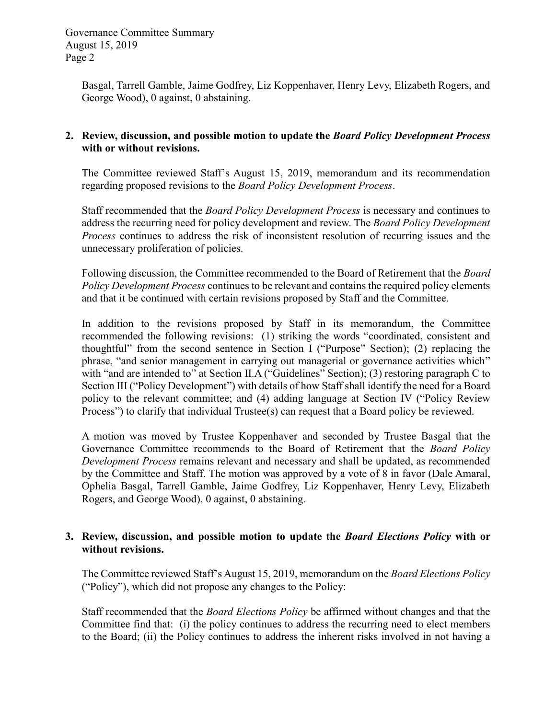Basgal, Tarrell Gamble, Jaime Godfrey, Liz Koppenhaver, Henry Levy, Elizabeth Rogers, and George Wood), 0 against, 0 abstaining.

### **2. Review, discussion, and possible motion to update the** *Board Policy Development Process* **with or without revisions.**

The Committee reviewed Staff's August 15, 2019, memorandum and its recommendation regarding proposed revisions to the *Board Policy Development Process*.

Staff recommended that the *Board Policy Development Process* is necessary and continues to address the recurring need for policy development and review. The *Board Policy Development Process* continues to address the risk of inconsistent resolution of recurring issues and the unnecessary proliferation of policies.

Following discussion, the Committee recommended to the Board of Retirement that the *Board Policy Development Process* continues to be relevant and contains the required policy elements and that it be continued with certain revisions proposed by Staff and the Committee.

In addition to the revisions proposed by Staff in its memorandum, the Committee recommended the following revisions: (1) striking the words "coordinated, consistent and thoughtful" from the second sentence in Section I ("Purpose" Section); (2) replacing the phrase, "and senior management in carrying out managerial or governance activities which" with "and are intended to" at Section II.A ("Guidelines" Section); (3) restoring paragraph C to Section III ("Policy Development") with details of how Staff shall identify the need for a Board policy to the relevant committee; and (4) adding language at Section IV ("Policy Review Process") to clarify that individual Trustee(s) can request that a Board policy be reviewed.

A motion was moved by Trustee Koppenhaver and seconded by Trustee Basgal that the Governance Committee recommends to the Board of Retirement that the *Board Policy Development Process* remains relevant and necessary and shall be updated, as recommended by the Committee and Staff. The motion was approved by a vote of 8 in favor (Dale Amaral, Ophelia Basgal, Tarrell Gamble, Jaime Godfrey, Liz Koppenhaver, Henry Levy, Elizabeth Rogers, and George Wood), 0 against, 0 abstaining.

## **3. Review, discussion, and possible motion to update the** *Board Elections Policy* **with or without revisions.**

The Committee reviewed Staff's August 15, 2019, memorandum on the *Board Elections Policy*  ("Policy"), which did not propose any changes to the Policy:

Staff recommended that the *Board Elections Policy* be affirmed without changes and that the Committee find that: (i) the policy continues to address the recurring need to elect members to the Board; (ii) the Policy continues to address the inherent risks involved in not having a